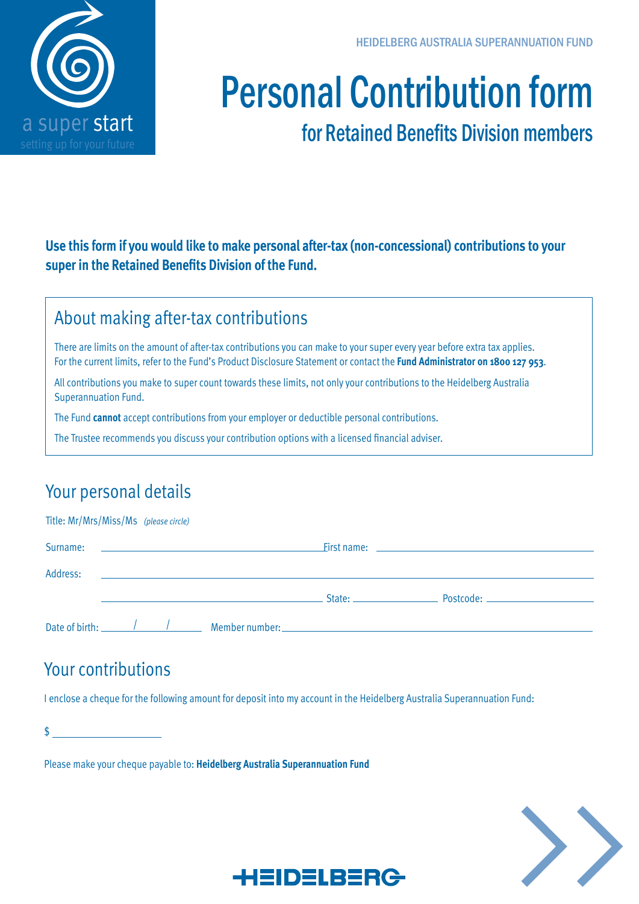

#### HEIDELBERG AUSTRALIA SUPERANNUATION FUND

# Personal Contribution form

# for Retained Benefits Division members

**Use this form if you would like to make personal after-tax (non-concessional) contributions to your super in the Retained Benefits Division of the Fund.**

### About making after-tax contributions

There are limits on the amount of after-tax contributions you can make to your super every year before extra tax applies. For the current limits, refer to the Fund's Product Disclosure Statement or contact the **Fund Administrator on 1800 127 953**.

All contributions you make to super count towards these limits, not only your contributions to the Heidelberg Australia Superannuation Fund.

The Fund **cannot** accept contributions from your employer or deductible personal contributions.

The Trustee recommends you discuss your contribution options with a licensed financial adviser.

# Your personal details

## Title: Mr/Mrs/Miss/Ms *(please circle)* Surname: First name: Address: State: Postcode:

Date of birth:  $\frac{1}{\sqrt{1-\frac{1}{1-\frac{1}{1-\frac{1}{1-\frac{1}{1-\frac{1}{1-\frac{1}{1-\frac{1}{1-\frac{1}{1-\frac{1}{1-\frac{1}{1-\frac{1}{1-\frac{1}{1-\frac{1}{1-\frac{1}{1-\frac{1}{1-\frac{1}{1-\frac{1}{1-\frac{1}{1-\frac{1}{1-\frac{1}{1-\frac{1}{1-\frac{1}{1-\frac{1}{1-\frac{1}{1-\frac{1}{1-\frac{1}{1-\frac{1}{1-\frac{1}{1-\frac{1}{1-\frac{1}{1-\frac{1}{1-\frac{1}{1-\frac{1$ 

# Your contributions

I enclose a cheque for the following amount for deposit into my account in the Heidelberg Australia Superannuation Fund:

 $\sim$ 

Please make your cheque payable to: **Heidelberg Australia Superannuation Fund**